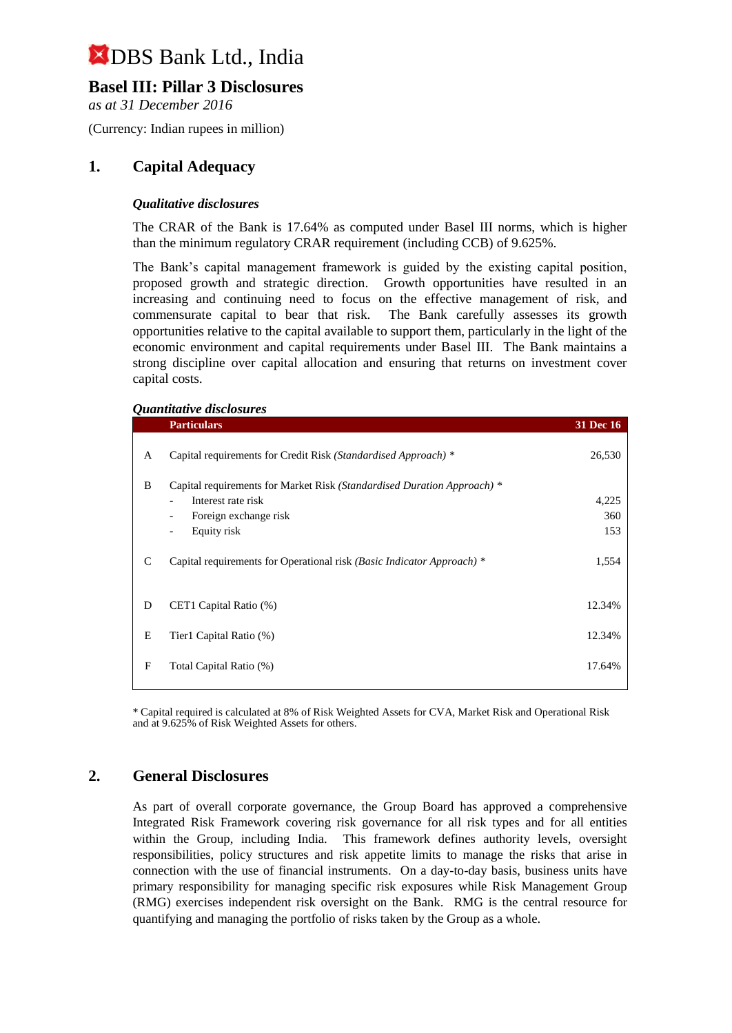## **Basel III: Pillar 3 Disclosures**

*as at 31 December 2016*

(Currency: Indian rupees in million)

### **1. Capital Adequacy**

### *Qualitative disclosures*

The CRAR of the Bank is 17.64% as computed under Basel III norms, which is higher than the minimum regulatory CRAR requirement (including CCB) of 9.625%.

The Bank's capital management framework is guided by the existing capital position, proposed growth and strategic direction. Growth opportunities have resulted in an increasing and continuing need to focus on the effective management of risk, and commensurate capital to bear that risk. The Bank carefully assesses its growth opportunities relative to the capital available to support them, particularly in the light of the economic environment and capital requirements under Basel III. The Bank maintains a strong discipline over capital allocation and ensuring that returns on investment cover capital costs.

#### *Quantitative disclosures*

|   | <b>Particulars</b>                                                      | <b>31 Dec 16</b> |
|---|-------------------------------------------------------------------------|------------------|
| A | Capital requirements for Credit Risk (Standardised Approach) *          | 26,530           |
| B | Capital requirements for Market Risk (Standardised Duration Approach) * |                  |
|   | Interest rate risk                                                      | 4,225            |
|   | Foreign exchange risk<br>$\overline{\phantom{a}}$                       | 360              |
|   | Equity risk<br>$\overline{\phantom{a}}$                                 | 153              |
| C | Capital requirements for Operational risk (Basic Indicator Approach) *  | 1,554            |
| D | CET1 Capital Ratio (%)                                                  | 12.34%           |
| E | Tier1 Capital Ratio (%)                                                 | 12.34%           |
| F | Total Capital Ratio (%)                                                 | 17.64%           |

\* Capital required is calculated at 8% of Risk Weighted Assets for CVA, Market Risk and Operational Risk and at 9.625% of Risk Weighted Assets for others.

### **2. General Disclosures**

As part of overall corporate governance, the Group Board has approved a comprehensive Integrated Risk Framework covering risk governance for all risk types and for all entities within the Group, including India. This framework defines authority levels, oversight responsibilities, policy structures and risk appetite limits to manage the risks that arise in connection with the use of financial instruments. On a day-to-day basis, business units have primary responsibility for managing specific risk exposures while Risk Management Group (RMG) exercises independent risk oversight on the Bank. RMG is the central resource for quantifying and managing the portfolio of risks taken by the Group as a whole.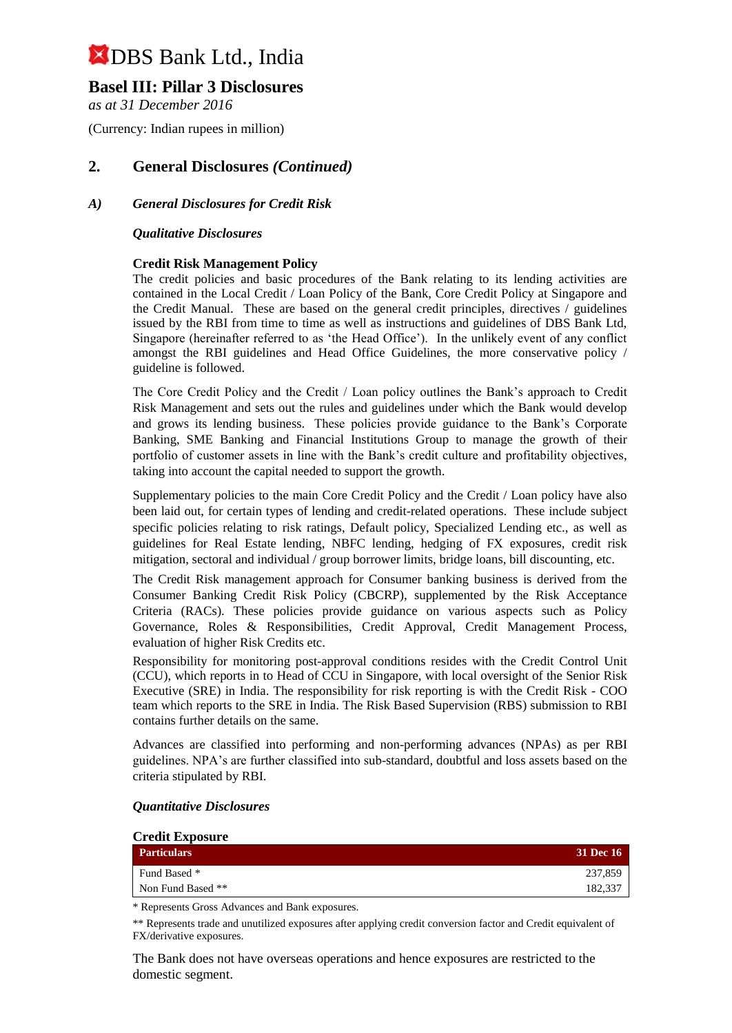## **Basel III: Pillar 3 Disclosures**

*as at 31 December 2016*

(Currency: Indian rupees in million)

## **2. General Disclosures** *(Continued)*

### *A) General Disclosures for Credit Risk*

#### *Qualitative Disclosures*

### **Credit Risk Management Policy**

The credit policies and basic procedures of the Bank relating to its lending activities are contained in the Local Credit / Loan Policy of the Bank, Core Credit Policy at Singapore and the Credit Manual. These are based on the general credit principles, directives / guidelines issued by the RBI from time to time as well as instructions and guidelines of DBS Bank Ltd, Singapore (hereinafter referred to as 'the Head Office'). In the unlikely event of any conflict amongst the RBI guidelines and Head Office Guidelines, the more conservative policy / guideline is followed.

The Core Credit Policy and the Credit / Loan policy outlines the Bank's approach to Credit Risk Management and sets out the rules and guidelines under which the Bank would develop and grows its lending business. These policies provide guidance to the Bank's Corporate Banking, SME Banking and Financial Institutions Group to manage the growth of their portfolio of customer assets in line with the Bank's credit culture and profitability objectives, taking into account the capital needed to support the growth.

Supplementary policies to the main Core Credit Policy and the Credit / Loan policy have also been laid out, for certain types of lending and credit-related operations. These include subject specific policies relating to risk ratings, Default policy, Specialized Lending etc., as well as guidelines for Real Estate lending, NBFC lending, hedging of FX exposures, credit risk mitigation, sectoral and individual / group borrower limits, bridge loans, bill discounting, etc.

The Credit Risk management approach for Consumer banking business is derived from the Consumer Banking Credit Risk Policy (CBCRP), supplemented by the Risk Acceptance Criteria (RACs). These policies provide guidance on various aspects such as Policy Governance, Roles & Responsibilities, Credit Approval, Credit Management Process, evaluation of higher Risk Credits etc.

Responsibility for monitoring post-approval conditions resides with the Credit Control Unit (CCU), which reports in to Head of CCU in Singapore, with local oversight of the Senior Risk Executive (SRE) in India. The responsibility for risk reporting is with the Credit Risk - COO team which reports to the SRE in India. The Risk Based Supervision (RBS) submission to RBI contains further details on the same.

Advances are classified into performing and non-performing advances (NPAs) as per RBI guidelines. NPA's are further classified into sub-standard, doubtful and loss assets based on the criteria stipulated by RBI.

| <b>Credit Exposure</b> |                  |
|------------------------|------------------|
| <b>Particulars</b>     | <b>31 Dec 16</b> |
| Fund Based *           | 237.859          |
| Non Fund Based **      | 182,337          |

#### *Quantitative Disclosures*

\* Represents Gross Advances and Bank exposures.

\*\* Represents trade and unutilized exposures after applying credit conversion factor and Credit equivalent of FX/derivative exposures.

The Bank does not have overseas operations and hence exposures are restricted to the domestic segment.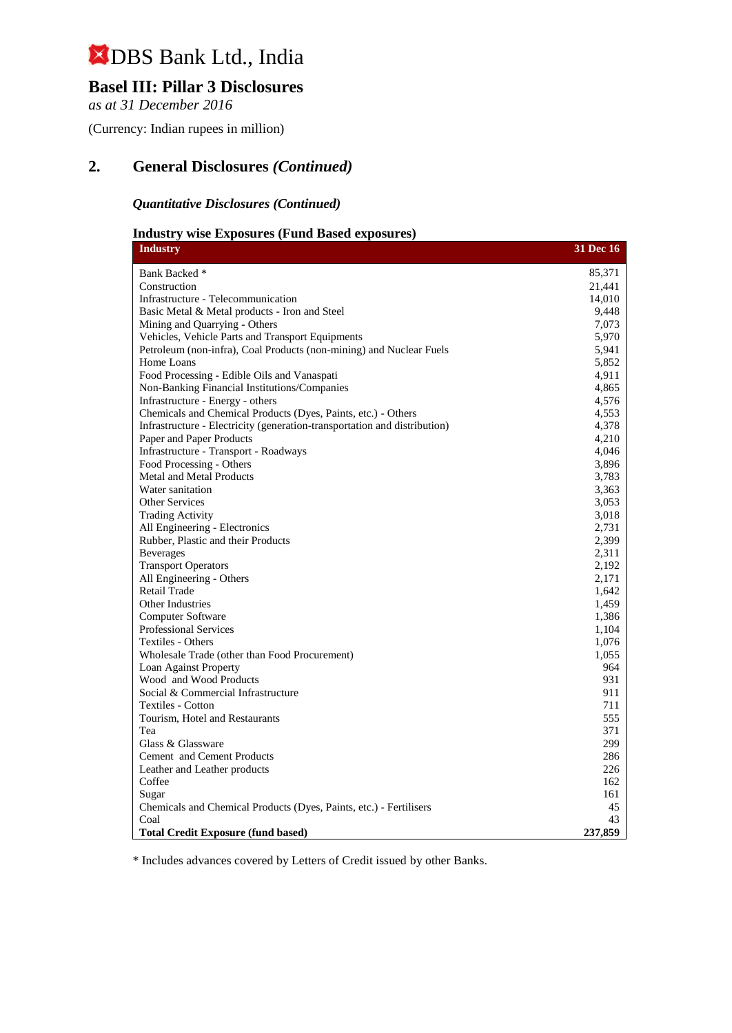## **Basel III: Pillar 3 Disclosures**

*as at 31 December 2016*

(Currency: Indian rupees in million)

## **2. General Disclosures** *(Continued)*

### *Quantitative Disclosures (Continued)*

## **Industry wise Exposures (Fund Based exposures)**

| <b>Industry</b>                                                           | <b>31 Dec 16</b> |
|---------------------------------------------------------------------------|------------------|
| Bank Backed *                                                             | 85,371           |
| Construction                                                              | 21,441           |
| Infrastructure - Telecommunication                                        | 14,010           |
| Basic Metal & Metal products - Iron and Steel                             | 9,448            |
| Mining and Quarrying - Others                                             | 7,073            |
| Vehicles, Vehicle Parts and Transport Equipments                          | 5,970            |
| Petroleum (non-infra), Coal Products (non-mining) and Nuclear Fuels       | 5,941            |
| Home Loans                                                                | 5,852            |
| Food Processing - Edible Oils and Vanaspati                               | 4,911            |
| Non-Banking Financial Institutions/Companies                              | 4,865            |
| Infrastructure - Energy - others                                          | 4,576            |
| Chemicals and Chemical Products (Dyes, Paints, etc.) - Others             | 4,553            |
| Infrastructure - Electricity (generation-transportation and distribution) | 4,378            |
| Paper and Paper Products                                                  | 4,210            |
| Infrastructure - Transport - Roadways                                     | 4,046            |
| Food Processing - Others                                                  | 3,896            |
| <b>Metal and Metal Products</b>                                           | 3,783            |
| Water sanitation                                                          | 3,363            |
| <b>Other Services</b>                                                     | 3,053            |
| <b>Trading Activity</b>                                                   | 3,018            |
| All Engineering - Electronics                                             | 2,731            |
| Rubber, Plastic and their Products                                        | 2,399            |
| <b>Beverages</b>                                                          | 2,311            |
| <b>Transport Operators</b>                                                | 2,192            |
| All Engineering - Others                                                  | 2,171            |
| <b>Retail Trade</b>                                                       | 1,642            |
| Other Industries                                                          | 1,459            |
| Computer Software                                                         | 1,386            |
| <b>Professional Services</b>                                              | 1,104            |
| Textiles - Others                                                         | 1,076            |
| Wholesale Trade (other than Food Procurement)                             | 1,055            |
| Loan Against Property                                                     | 964              |
| Wood and Wood Products                                                    | 931              |
| Social & Commercial Infrastructure                                        | 911              |
| Textiles - Cotton                                                         | 711              |
| Tourism, Hotel and Restaurants                                            | 555              |
| Tea                                                                       | 371              |
| Glass & Glassware                                                         | 299              |
| Cement and Cement Products                                                | 286              |
| Leather and Leather products                                              | 226              |
| Coffee                                                                    | 162              |
| Sugar                                                                     | 161              |
| Chemicals and Chemical Products (Dyes, Paints, etc.) - Fertilisers        | 45               |
| Coal                                                                      | 43               |
| <b>Total Credit Exposure (fund based)</b>                                 | 237,859          |

\* Includes advances covered by Letters of Credit issued by other Banks.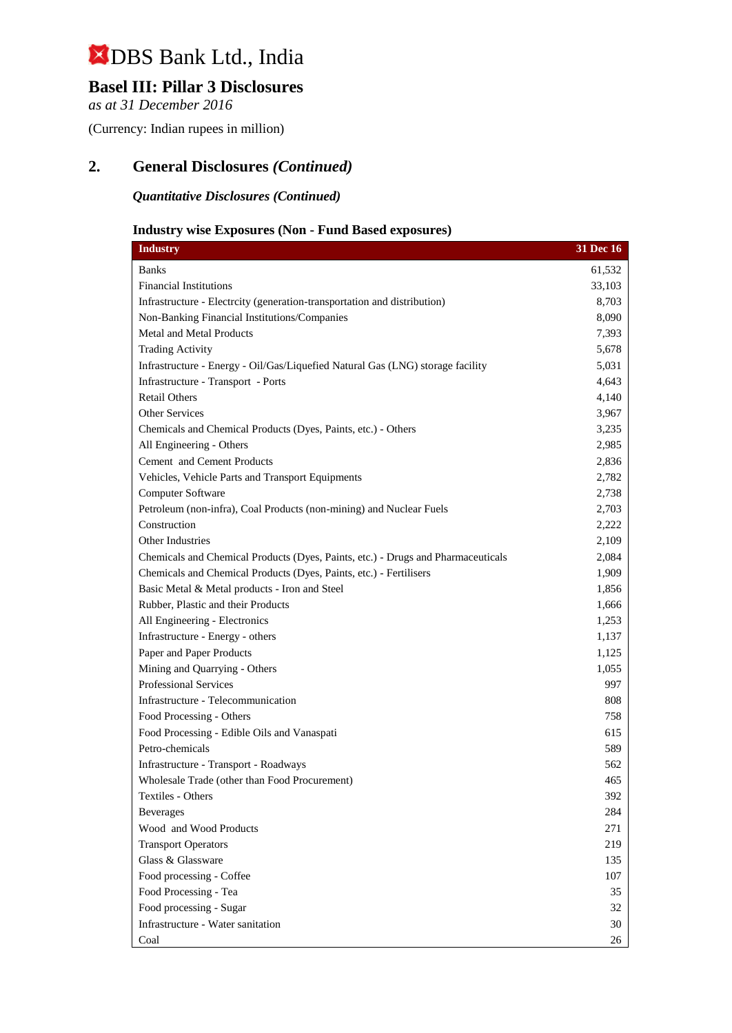## **Basel III: Pillar 3 Disclosures**

*as at 31 December 2016*

(Currency: Indian rupees in million)

## **2. General Disclosures** *(Continued)*

*Quantitative Disclosures (Continued)*

## **Industry wise Exposures (Non - Fund Based exposures)**

| <b>Industry</b>                                                                  | 31 Dec 16 |
|----------------------------------------------------------------------------------|-----------|
| <b>Banks</b>                                                                     | 61,532    |
| <b>Financial Institutions</b>                                                    | 33,103    |
| Infrastructure - Electrcity (generation-transportation and distribution)         | 8,703     |
| Non-Banking Financial Institutions/Companies                                     | 8,090     |
| <b>Metal and Metal Products</b>                                                  | 7,393     |
| <b>Trading Activity</b>                                                          | 5,678     |
| Infrastructure - Energy - Oil/Gas/Liquefied Natural Gas (LNG) storage facility   | 5,031     |
| Infrastructure - Transport - Ports                                               | 4,643     |
| <b>Retail Others</b>                                                             | 4,140     |
| Other Services                                                                   | 3,967     |
| Chemicals and Chemical Products (Dyes, Paints, etc.) - Others                    | 3,235     |
| All Engineering - Others                                                         | 2,985     |
| Cement and Cement Products                                                       | 2,836     |
| Vehicles, Vehicle Parts and Transport Equipments                                 | 2,782     |
| Computer Software                                                                | 2,738     |
| Petroleum (non-infra), Coal Products (non-mining) and Nuclear Fuels              | 2,703     |
| Construction                                                                     | 2,222     |
| Other Industries                                                                 | 2,109     |
| Chemicals and Chemical Products (Dyes, Paints, etc.) - Drugs and Pharmaceuticals | 2,084     |
| Chemicals and Chemical Products (Dyes, Paints, etc.) - Fertilisers               | 1,909     |
| Basic Metal & Metal products - Iron and Steel                                    | 1,856     |
| Rubber, Plastic and their Products                                               | 1,666     |
| All Engineering - Electronics                                                    | 1,253     |
| Infrastructure - Energy - others                                                 | 1,137     |
| Paper and Paper Products                                                         | 1,125     |
| Mining and Quarrying - Others                                                    | 1,055     |
| Professional Services                                                            | 997       |
| Infrastructure - Telecommunication                                               | 808       |
| Food Processing - Others                                                         | 758       |
| Food Processing - Edible Oils and Vanaspati                                      | 615       |
| Petro-chemicals                                                                  | 589       |
| Infrastructure - Transport - Roadways                                            | 562       |
| Wholesale Trade (other than Food Procurement)                                    | 465       |
| Textiles - Others                                                                | 392       |
| <b>Beverages</b>                                                                 | 284       |
| Wood and Wood Products                                                           | 271       |
| <b>Transport Operators</b>                                                       | 219       |
| Glass & Glassware                                                                | 135       |
| Food processing - Coffee                                                         | 107       |
| Food Processing - Tea                                                            | 35        |
| Food processing - Sugar                                                          | 32        |
| Infrastructure - Water sanitation                                                | 30        |
| Coal                                                                             | 26        |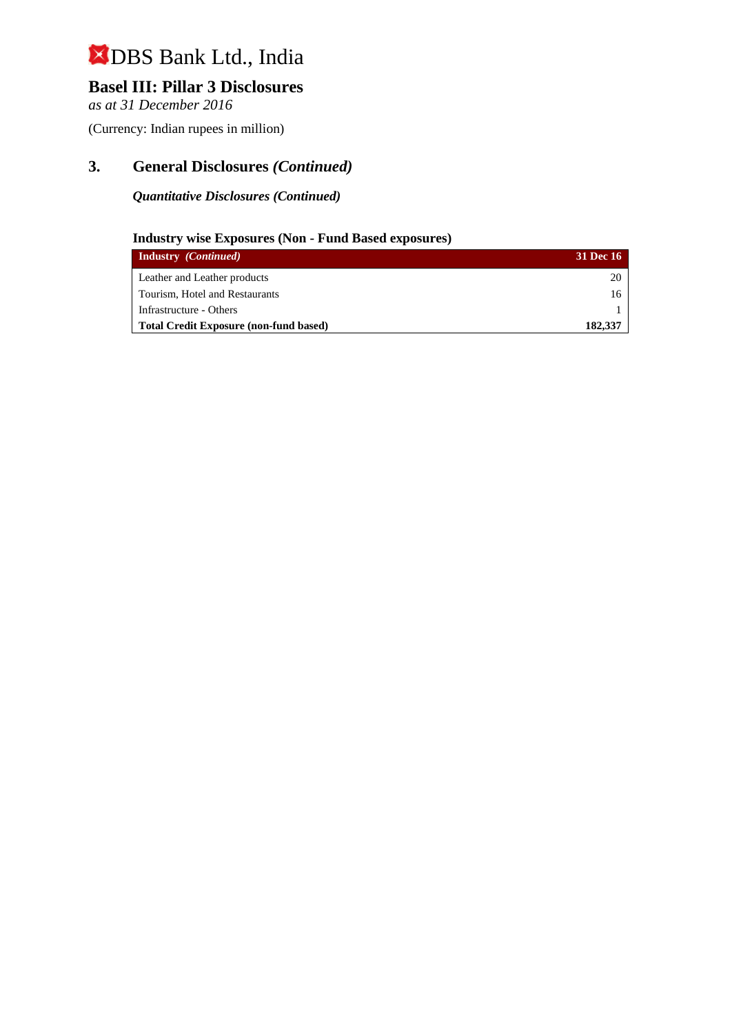## **Basel III: Pillar 3 Disclosures**

*as at 31 December 2016*

(Currency: Indian rupees in million)

## **3. General Disclosures** *(Continued)*

### *Quantitative Disclosures (Continued)*

### **Industry wise Exposures (Non - Fund Based exposures)**

| <b>Industry</b> <i>(Continued)</i>            | <b>31 Dec 16</b> |
|-----------------------------------------------|------------------|
| Leather and Leather products                  | 20               |
| Tourism, Hotel and Restaurants                | 16               |
| Infrastructure - Others                       |                  |
| <b>Total Credit Exposure (non-fund based)</b> | 182,337          |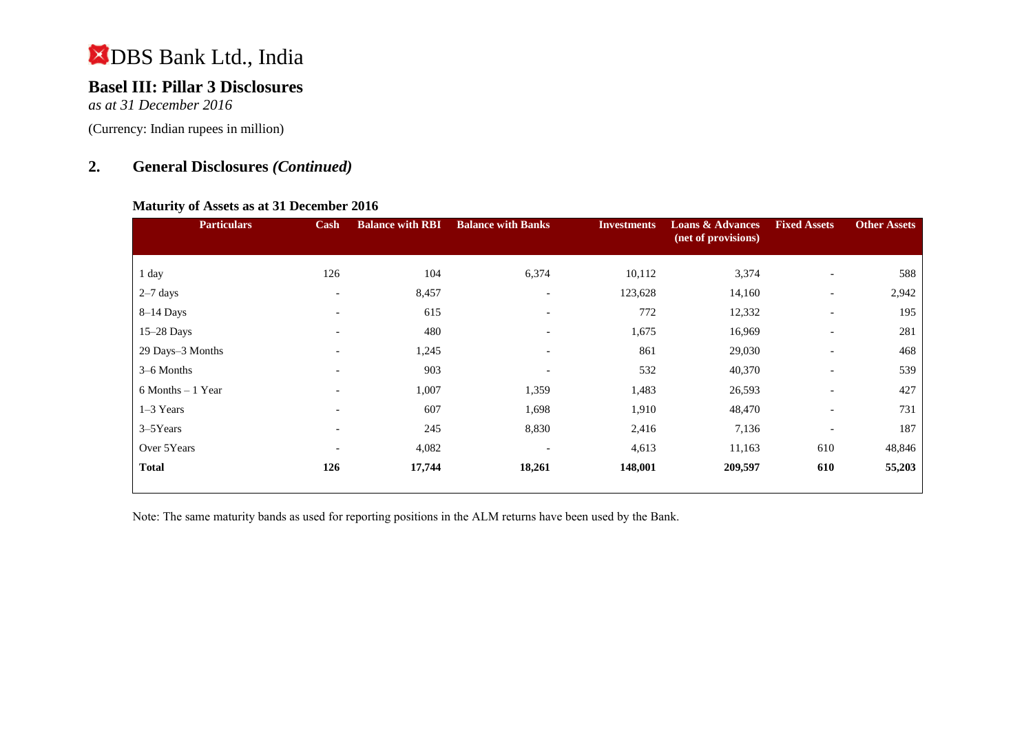## **Basel III: Pillar 3 Disclosures**

*as at 31 December 2016*

(Currency: Indian rupees in million)

## **2. General Disclosures** *(Continued)*

### **Maturity of Assets as at 31 December 2016**

| <b>Particulars</b>   | Cash                     | <b>Balance with RBI</b> | <b>Balance with Banks</b> | <b>Investments</b> | <b>Loans &amp; Advances</b><br>(net of provisions) | <b>Fixed Assets</b>      | <b>Other Assets</b> |
|----------------------|--------------------------|-------------------------|---------------------------|--------------------|----------------------------------------------------|--------------------------|---------------------|
|                      |                          |                         |                           |                    |                                                    |                          |                     |
| 1 day                | 126                      | 104                     | 6,374                     | 10,112             | 3,374                                              | $\overline{\phantom{a}}$ | 588                 |
| $2-7$ days           | $\overline{\phantom{a}}$ | 8,457                   | $\overline{\phantom{0}}$  | 123,628            | 14,160                                             | $\overline{\phantom{a}}$ | 2,942               |
| $8-14$ Days          | $\overline{\phantom{a}}$ | 615                     | $\overline{\phantom{a}}$  | 772                | 12,332                                             | $\overline{\phantom{0}}$ | 195                 |
| 15-28 Days           | $\overline{\phantom{0}}$ | 480                     | $\overline{\phantom{0}}$  | 1,675              | 16,969                                             | $\overline{\phantom{a}}$ | 281                 |
| 29 Days-3 Months     | $\overline{\phantom{0}}$ | 1,245                   | $\overline{\phantom{0}}$  | 861                | 29,030                                             | $\overline{\phantom{a}}$ | 468                 |
| 3–6 Months           | $\overline{\phantom{a}}$ | 903                     | $\overline{\phantom{0}}$  | 532                | 40,370                                             | $\overline{\phantom{a}}$ | 539                 |
| $6$ Months $-1$ Year | $\overline{a}$           | 1,007                   | 1,359                     | 1,483              | 26,593                                             | $\overline{\phantom{a}}$ | 427                 |
| $1-3$ Years          | $\overline{\phantom{0}}$ | 607                     | 1,698                     | 1,910              | 48,470                                             | $\overline{\phantom{a}}$ | 731                 |
| 3-5Years             | $\overline{\phantom{a}}$ | 245                     | 8,830                     | 2,416              | 7,136                                              | $\overline{\phantom{a}}$ | 187                 |
| Over 5Years          | $\overline{\phantom{a}}$ | 4,082                   | $\overline{\phantom{a}}$  | 4,613              | 11,163                                             | 610                      | 48,846              |
| <b>Total</b>         | 126                      | 17,744                  | 18,261                    | 148,001            | 209,597                                            | 610                      | 55,203              |

Note: The same maturity bands as used for reporting positions in the ALM returns have been used by the Bank.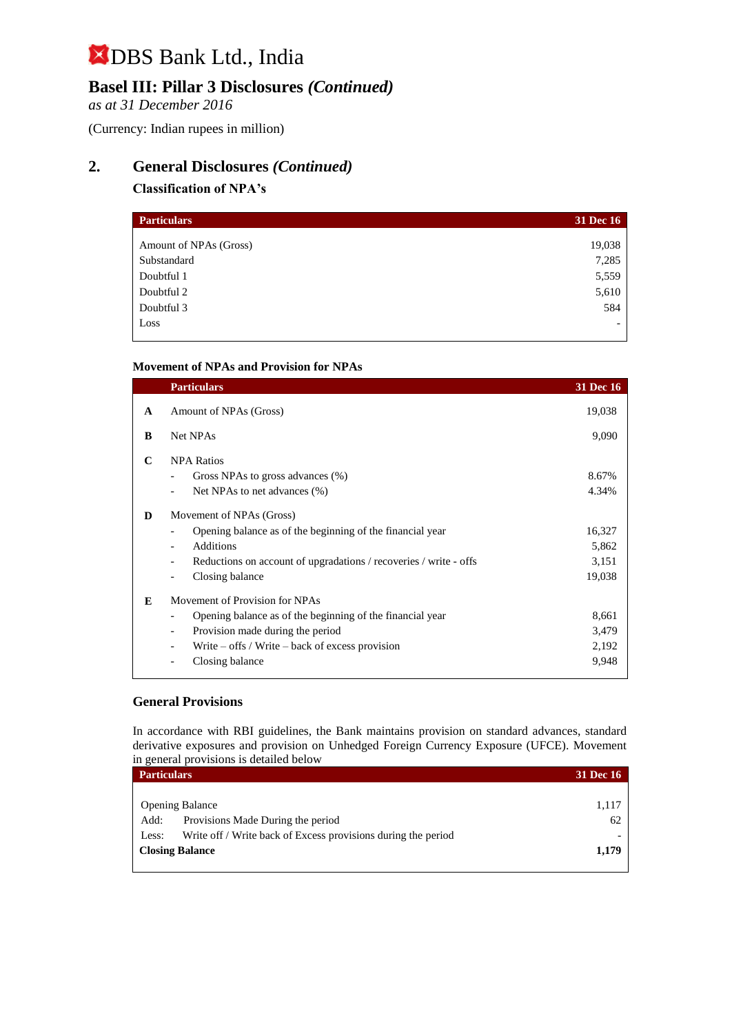## **Basel III: Pillar 3 Disclosures** *(Continued)*

*as at 31 December 2016*

(Currency: Indian rupees in million)

## **2. General Disclosures** *(Continued)*

### **Classification of NPA's**

| <b>Particulars</b>     | 31 Dec 16 |
|------------------------|-----------|
|                        |           |
| Amount of NPAs (Gross) | 19,038    |
| Substandard            | 7,285     |
| Doubtful 1             | 5,559     |
| Doubtful 2             | 5,610     |
| Doubtful 3             | 584       |
| Loss                   |           |

### **Movement of NPAs and Provision for NPAs**

|              | <b>Particulars</b>                                                                            | <b>31 Dec 16</b> |
|--------------|-----------------------------------------------------------------------------------------------|------------------|
| $\mathbf{A}$ | Amount of NPAs (Gross)                                                                        | 19,038           |
| B            | Net NPAs                                                                                      | 9,090            |
| C            | <b>NPA Ratios</b>                                                                             |                  |
|              | Gross NPAs to gross advances (%)                                                              | 8.67%            |
|              | Net NPAs to net advances (%)                                                                  | 4.34%            |
| D            | Movement of NPAs (Gross)                                                                      |                  |
|              | Opening balance as of the beginning of the financial year                                     | 16,327           |
|              | <b>Additions</b><br>$\qquad \qquad \blacksquare$                                              | 5,862            |
|              | Reductions on account of upgradations / recoveries / write - offs<br>$\overline{\phantom{a}}$ | 3,151            |
|              | Closing balance                                                                               | 19,038           |
| E            | Movement of Provision for NPAs                                                                |                  |
|              | Opening balance as of the beginning of the financial year                                     | 8,661            |
|              | Provision made during the period<br>-                                                         | 3,479            |
|              | Write $-$ offs / Write $-$ back of excess provision                                           | 2,192            |
|              | Closing balance                                                                               | 9,948            |
|              |                                                                                               |                  |

#### **General Provisions**

In accordance with RBI guidelines, the Bank maintains provision on standard advances, standard derivative exposures and provision on Unhedged Foreign Currency Exposure (UFCE). Movement in general provisions is detailed below

| <b>Particulars</b>     |                                                               | <b>31 Dec 16</b> |
|------------------------|---------------------------------------------------------------|------------------|
|                        |                                                               |                  |
| <b>Opening Balance</b> |                                                               | 1,117            |
| Add:                   | Provisions Made During the period                             | 62               |
| Less:                  | Write off / Write back of Excess provisions during the period |                  |
| <b>Closing Balance</b> |                                                               | 1,179            |
|                        |                                                               |                  |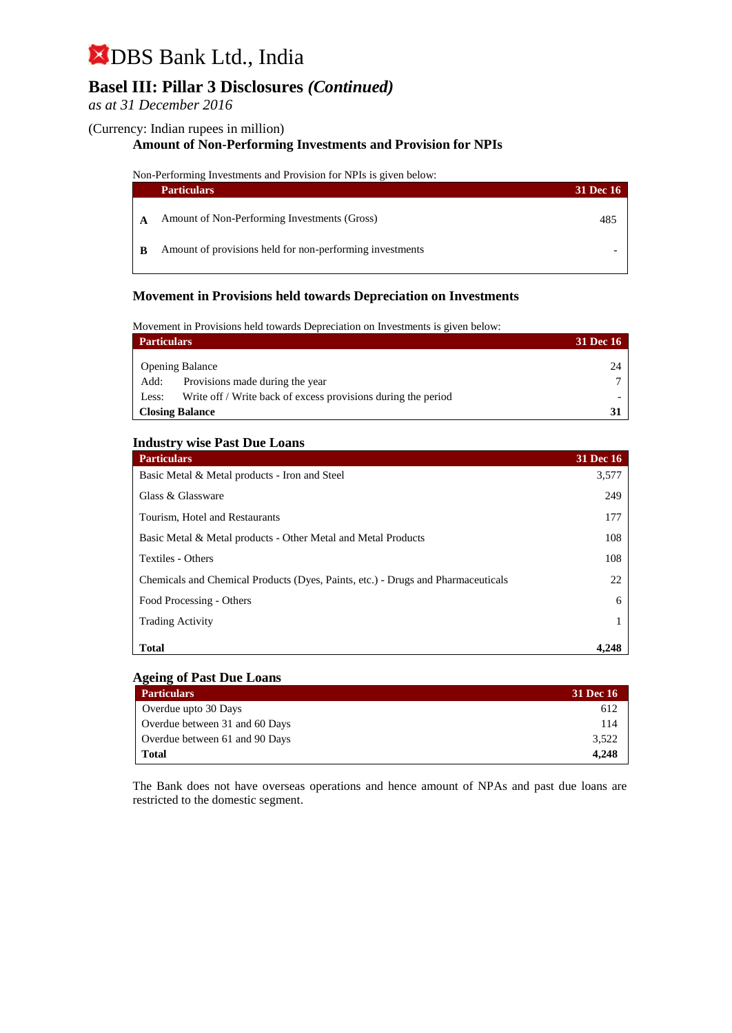## **Basel III: Pillar 3 Disclosures** *(Continued)*

### *as at 31 December 2016*

#### (Currency: Indian rupees in million)

### **Amount of Non-Performing Investments and Provision for NPIs**

Non-Performing Investments and Provision for NPIs is given below:

| <b>Particulars</b>                                       | <b>31 Dec 16</b> |
|----------------------------------------------------------|------------------|
| Amount of Non-Performing Investments (Gross)             | 485              |
| Amount of provisions held for non-performing investments |                  |

### **Movement in Provisions held towards Depreciation on Investments**

Movement in Provisions held towards Depreciation on Investments is given below:

| <b>Particulars</b>     |                                                               | <b>31 Dec 16</b> |
|------------------------|---------------------------------------------------------------|------------------|
|                        | <b>Opening Balance</b>                                        | 24               |
| Add:                   | Provisions made during the year                               |                  |
| Less:                  | Write off / Write back of excess provisions during the period |                  |
| <b>Closing Balance</b> |                                                               |                  |

#### **Industry wise Past Due Loans**

| <b>Particulars</b>                                                               | <b>31 Dec 16</b> |
|----------------------------------------------------------------------------------|------------------|
| Basic Metal & Metal products - Iron and Steel                                    | 3,577            |
| Glass & Glassware                                                                | 249              |
| Tourism, Hotel and Restaurants                                                   | 177              |
| Basic Metal & Metal products - Other Metal and Metal Products                    | 108              |
| Textiles - Others                                                                | 108              |
| Chemicals and Chemical Products (Dyes, Paints, etc.) - Drugs and Pharmaceuticals | 22               |
| Food Processing - Others                                                         | 6                |
| <b>Trading Activity</b>                                                          |                  |
| <b>Total</b>                                                                     | 4.248            |

#### **Ageing of Past Due Loans**

| <b>Particulars</b>             | 31 Dec 16 |
|--------------------------------|-----------|
| Overdue upto 30 Days           | 612       |
| Overdue between 31 and 60 Days | 114       |
| Overdue between 61 and 90 Days | 3,522     |
| Total                          | 4.248     |

The Bank does not have overseas operations and hence amount of NPAs and past due loans are restricted to the domestic segment.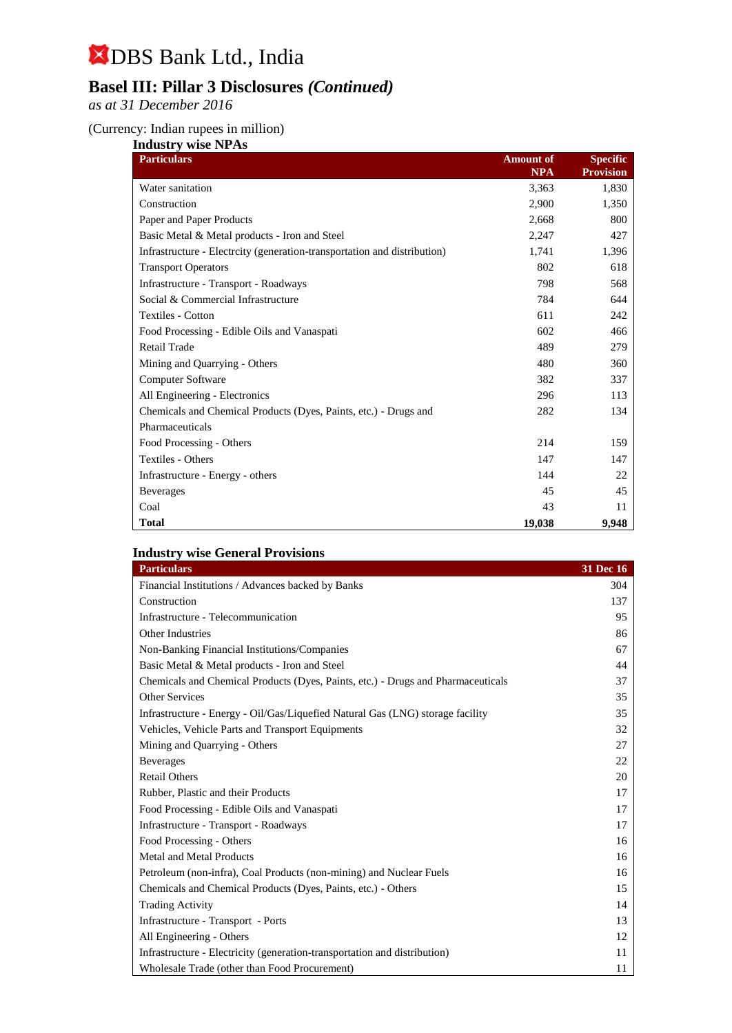## **Basel III: Pillar 3 Disclosures** *(Continued)*

*as at 31 December 2016*

### (Currency: Indian rupees in million)

| <b>Industry wise NPAs</b>                                                |                  |                  |
|--------------------------------------------------------------------------|------------------|------------------|
| <b>Particulars</b>                                                       | <b>Amount of</b> | <b>Specific</b>  |
|                                                                          | <b>NPA</b>       | <b>Provision</b> |
| Water sanitation                                                         | 3,363            | 1,830            |
| Construction                                                             | 2,900            | 1,350            |
| Paper and Paper Products                                                 | 2,668            | 800              |
| Basic Metal & Metal products - Iron and Steel                            | 2,247            | 427              |
| Infrastructure - Electrcity (generation-transportation and distribution) | 1,741            | 1,396            |
| <b>Transport Operators</b>                                               | 802              | 618              |
| Infrastructure - Transport - Roadways                                    | 798              | 568              |
| Social & Commercial Infrastructure                                       | 784              | 644              |
| Textiles - Cotton                                                        | 611              | 242              |
| Food Processing - Edible Oils and Vanaspati                              | 602              | 466              |
| Retail Trade                                                             | 489              | 279              |
| Mining and Quarrying - Others                                            | 480              | 360              |
| Computer Software                                                        | 382              | 337              |
| All Engineering - Electronics                                            | 296              | 113              |
| Chemicals and Chemical Products (Dyes, Paints, etc.) - Drugs and         | 282              | 134              |
| Pharmaceuticals                                                          |                  |                  |
| Food Processing - Others                                                 | 214              | 159              |
| Textiles - Others                                                        | 147              | 147              |
| Infrastructure - Energy - others                                         | 144              | 22               |
| <b>Beverages</b>                                                         | 45               | 45               |
| Coal                                                                     | 43               | 11               |
| <b>Total</b>                                                             | 19,038           | 9,948            |

### **Industry wise General Provisions**

| <b>Particulars</b>                                                               | 31 Dec 16 |
|----------------------------------------------------------------------------------|-----------|
| Financial Institutions / Advances backed by Banks                                | 304       |
| Construction                                                                     | 137       |
| Infrastructure - Telecommunication                                               | 95        |
| <b>Other Industries</b>                                                          | 86        |
| Non-Banking Financial Institutions/Companies                                     | 67        |
| Basic Metal & Metal products - Iron and Steel                                    | 44        |
| Chemicals and Chemical Products (Dyes, Paints, etc.) - Drugs and Pharmaceuticals | 37        |
| <b>Other Services</b>                                                            | 35        |
| Infrastructure - Energy - Oil/Gas/Liquefied Natural Gas (LNG) storage facility   | 35        |
| Vehicles, Vehicle Parts and Transport Equipments                                 | 32        |
| Mining and Quarrying - Others                                                    | 27        |
| <b>Beverages</b>                                                                 | 22        |
| <b>Retail Others</b>                                                             | 20        |
| Rubber, Plastic and their Products                                               | 17        |
| Food Processing - Edible Oils and Vanaspati                                      | 17        |
| Infrastructure - Transport - Roadways                                            | 17        |
| Food Processing - Others                                                         | 16        |
| <b>Metal and Metal Products</b>                                                  | 16        |
| Petroleum (non-infra), Coal Products (non-mining) and Nuclear Fuels              | 16        |
| Chemicals and Chemical Products (Dyes, Paints, etc.) - Others                    | 15        |
| <b>Trading Activity</b>                                                          | 14        |
| Infrastructure - Transport - Ports                                               | 13        |
| All Engineering - Others                                                         | 12        |
| Infrastructure - Electricity (generation-transportation and distribution)        | 11        |
| Wholesale Trade (other than Food Procurement)                                    | 11        |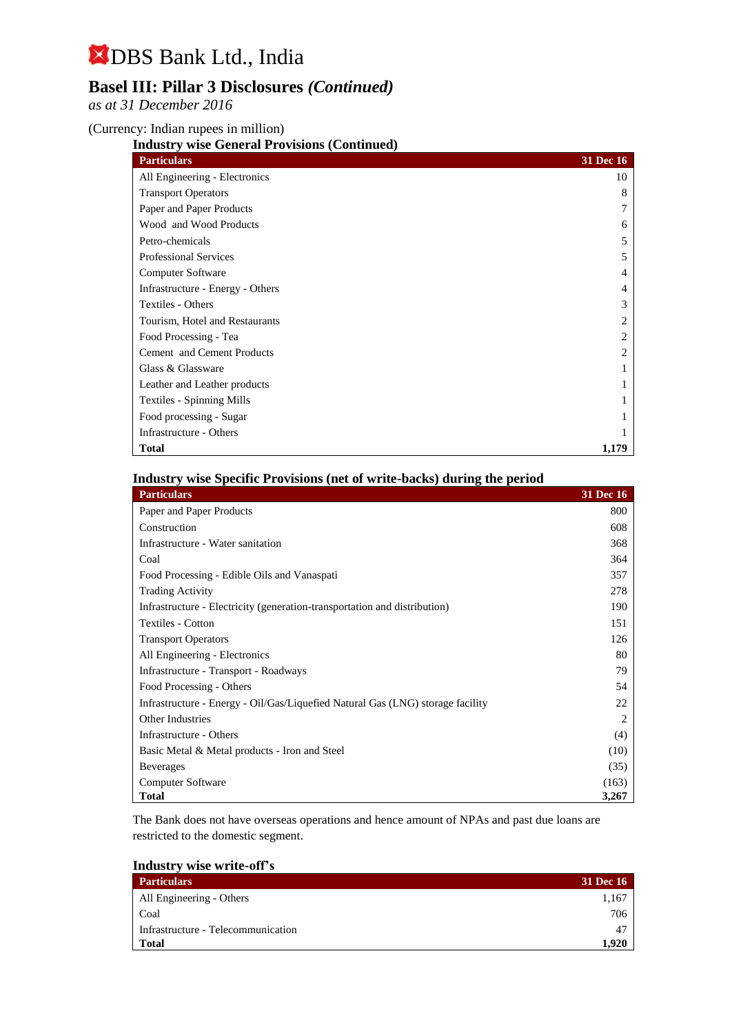## **Basel III: Pillar 3 Disclosures** *(Continued)*

*as at 31 December 2016*

(Currency: Indian rupees in million)

**Industry wise General Provisions (Continued)**

| <b>Particulars</b>               | 31 Dec 16    |
|----------------------------------|--------------|
| All Engineering - Electronics    | 10           |
| <b>Transport Operators</b>       | 8            |
| Paper and Paper Products         |              |
| Wood and Wood Products           | <sub>6</sub> |
| Petro-chemicals                  | 5            |
| <b>Professional Services</b>     | 5            |
| Computer Software                | 4            |
| Infrastructure - Energy - Others | 4            |
| Textiles - Others                | 3            |
| Tourism, Hotel and Restaurants   |              |
| Food Processing - Tea            |              |
| Cement and Cement Products       |              |
| Glass & Glassware                |              |
| Leather and Leather products     |              |
| Textiles - Spinning Mills        |              |
| Food processing - Sugar          |              |
| Infrastructure - Others          |              |
| <b>Total</b>                     | 1.179        |

**Industry wise Specific Provisions (net of write-backs) during the period**

| <b>Particulars</b>                                                             | <b>31 Dec 16</b> |
|--------------------------------------------------------------------------------|------------------|
| Paper and Paper Products                                                       | 800              |
| Construction                                                                   | 608              |
| Infrastructure - Water sanitation                                              | 368              |
| Coal                                                                           | 364              |
| Food Processing - Edible Oils and Vanaspati                                    | 357              |
| <b>Trading Activity</b>                                                        | 278              |
| Infrastructure - Electricity (generation-transportation and distribution)      | 190              |
| Textiles - Cotton                                                              | 151              |
| <b>Transport Operators</b>                                                     | 126              |
| All Engineering - Electronics                                                  | 80               |
| Infrastructure - Transport - Roadways                                          | 79               |
| Food Processing - Others                                                       | 54               |
| Infrastructure - Energy - Oil/Gas/Liquefied Natural Gas (LNG) storage facility | 22               |
| Other Industries                                                               | 2                |
| Infrastructure - Others                                                        | (4)              |
| Basic Metal & Metal products - Iron and Steel                                  | (10)             |
| <b>Beverages</b>                                                               | (35)             |
| Computer Software                                                              | (163)            |
| <b>Total</b>                                                                   | 3,267            |

The Bank does not have overseas operations and hence amount of NPAs and past due loans are restricted to the domestic segment.

| <b>Industry wise write-off's</b> |  |  |
|----------------------------------|--|--|
|                                  |  |  |

| <b>Particulars</b>                 | 31 Dec 16      |
|------------------------------------|----------------|
| All Engineering - Others           | 1.167          |
| Coal                               | 706            |
| Infrastructure - Telecommunication | 4 <sup>7</sup> |
| <b>Total</b>                       | .920           |